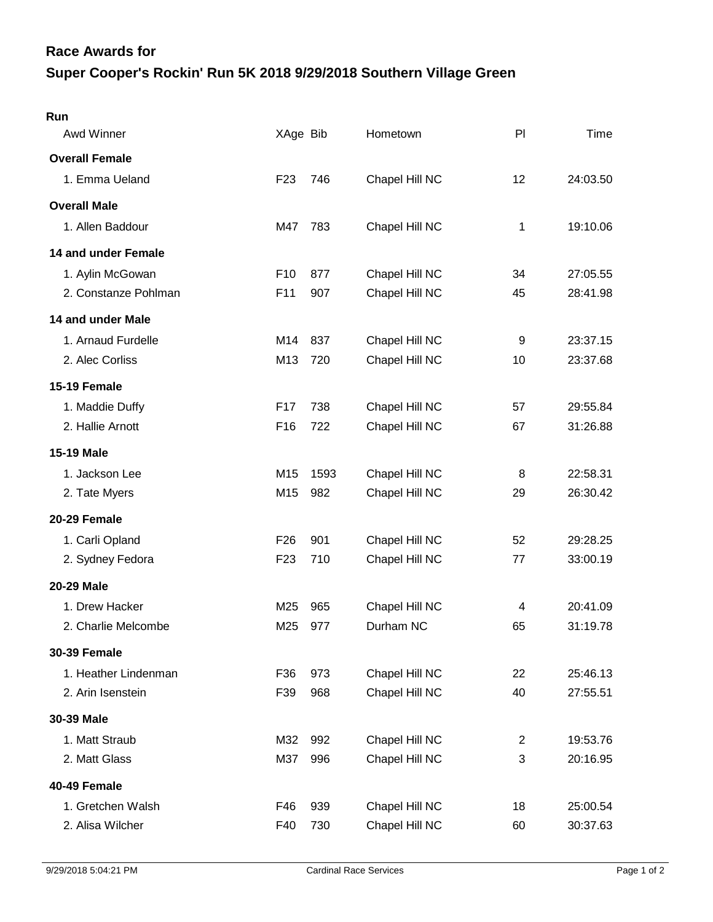## **Super Cooper's Rockin' Run 5K 2018 9/29/2018 Southern Village Green Race Awards for**

| Run                   |                 |      |                |                |          |
|-----------------------|-----------------|------|----------------|----------------|----------|
| Awd Winner            | XAge Bib        |      | Hometown       | PI             | Time     |
| <b>Overall Female</b> |                 |      |                |                |          |
| 1. Emma Ueland        | F <sub>23</sub> | 746  | Chapel Hill NC | 12             | 24:03.50 |
| <b>Overall Male</b>   |                 |      |                |                |          |
| 1. Allen Baddour      | M47             | 783  | Chapel Hill NC | 1              | 19:10.06 |
| 14 and under Female   |                 |      |                |                |          |
| 1. Aylin McGowan      | F <sub>10</sub> | 877  | Chapel Hill NC | 34             | 27:05.55 |
| 2. Constanze Pohlman  | F11             | 907  | Chapel Hill NC | 45             | 28:41.98 |
| 14 and under Male     |                 |      |                |                |          |
| 1. Arnaud Furdelle    | M14             | 837  | Chapel Hill NC | 9              | 23:37.15 |
| 2. Alec Corliss       | M13             | 720  | Chapel Hill NC | 10             | 23:37.68 |
| 15-19 Female          |                 |      |                |                |          |
| 1. Maddie Duffy       | F <sub>17</sub> | 738  | Chapel Hill NC | 57             | 29:55.84 |
| 2. Hallie Arnott      | F16             | 722  | Chapel Hill NC | 67             | 31:26.88 |
| <b>15-19 Male</b>     |                 |      |                |                |          |
| 1. Jackson Lee        | M <sub>15</sub> | 1593 | Chapel Hill NC | 8              | 22:58.31 |
| 2. Tate Myers         | M15             | 982  | Chapel Hill NC | 29             | 26:30.42 |
| 20-29 Female          |                 |      |                |                |          |
| 1. Carli Opland       | F <sub>26</sub> | 901  | Chapel Hill NC | 52             | 29:28.25 |
| 2. Sydney Fedora      | F <sub>23</sub> | 710  | Chapel Hill NC | 77             | 33:00.19 |
| 20-29 Male            |                 |      |                |                |          |
| 1. Drew Hacker        | M25             | 965  | Chapel Hill NC | 4              | 20:41.09 |
| 2. Charlie Melcombe   | M25             | 977  | Durham NC      | 65             | 31:19.78 |
| <b>30-39 Female</b>   |                 |      |                |                |          |
| 1. Heather Lindenman  | F36             | 973  | Chapel Hill NC | 22             | 25:46.13 |
| 2. Arin Isenstein     | F39             | 968  | Chapel Hill NC | 40             | 27:55.51 |
| 30-39 Male            |                 |      |                |                |          |
| 1. Matt Straub        | M32             | 992  | Chapel Hill NC | $\overline{2}$ | 19:53.76 |
| 2. Matt Glass         | M37             | 996  | Chapel Hill NC | 3              | 20:16.95 |
| 40-49 Female          |                 |      |                |                |          |
| 1. Gretchen Walsh     | F46             | 939  | Chapel Hill NC | 18             | 25:00.54 |
| 2. Alisa Wilcher      | F40             | 730  | Chapel Hill NC | 60             | 30:37.63 |